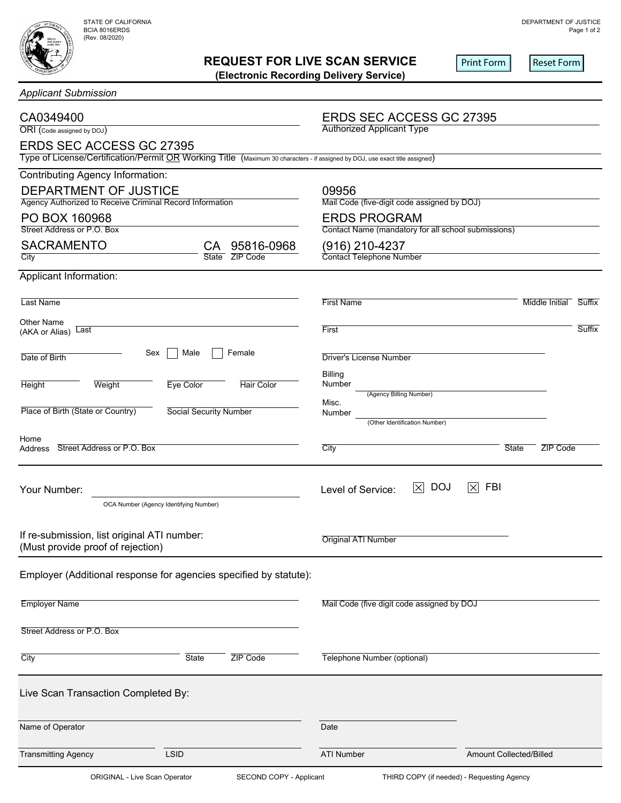

## **REQUEST FOR LIVE SCAN SERVICE**

|  |  | Applicant Submission |  |  |  |
|--|--|----------------------|--|--|--|
|--|--|----------------------|--|--|--|

| <b>REQUEST FOR LIVE SCAN SERVICE</b><br>(Electronic Recording Delivery Service)                                              |                                                                            | <b>Print Form</b><br><b>Reset Form</b> |  |
|------------------------------------------------------------------------------------------------------------------------------|----------------------------------------------------------------------------|----------------------------------------|--|
| <b>Applicant Submission</b>                                                                                                  |                                                                            |                                        |  |
| CA0349400<br>ORI (Code assigned by DOJ)<br><b>ERDS SEC ACCESS GC 27395</b>                                                   | <b>ERDS SEC ACCESS GC 27395</b><br><b>Authorized Applicant Type</b>        |                                        |  |
| Type of License/Certification/Permit OR Working Title (Maximum 30 characters - if assigned by DOJ, use exact title assigned) |                                                                            |                                        |  |
| <b>Contributing Agency Information:</b>                                                                                      |                                                                            |                                        |  |
| DEPARTMENT OF JUSTICE<br>Agency Authorized to Receive Criminal Record Information                                            | 09956<br>Mail Code (five-digit code assigned by DOJ)                       |                                        |  |
| PO BOX 160968<br>Street Address or P.O. Box                                                                                  | <b>ERDS PROGRAM</b><br>Contact Name (mandatory for all school submissions) |                                        |  |
| <b>SACRAMENTO</b><br>95816-0968<br>CА<br>State ZIP Code<br>City                                                              | (916) 210-4237<br>Contact Telephone Number                                 |                                        |  |
| Applicant Information:                                                                                                       |                                                                            |                                        |  |
| Last Name                                                                                                                    | <b>First Name</b>                                                          | Middle Initial<br>Suffix               |  |
| <b>Other Name</b><br>Last<br>(AKA or Alias)                                                                                  | First                                                                      | Suffix                                 |  |
| Female<br>Male<br>Sex<br>Date of Birth                                                                                       | <b>Driver's License Number</b>                                             |                                        |  |
| <b>Eye Color</b><br><b>Hair Color</b><br><b>Height</b><br>Weight                                                             | <b>Billing</b><br>Number<br>(Agency Billing Number)                        |                                        |  |
| Place of Birth (State or Country)<br><b>Social Security Number</b>                                                           | Misc.<br>Number<br>(Other Identification Number)                           |                                        |  |
| Home<br>Street Address or P.O. Box<br>Address                                                                                | City                                                                       | ZIP Code<br><b>State</b>               |  |
| Your Number:<br>OCA Number (Agency Identifying Number)                                                                       | <b>DOJ</b><br>$ \times $<br>Level of Service:                              | <b>FBI</b><br>$ \times $               |  |
| If re-submission, list original ATI number:<br>(Must provide proof of rejection)                                             | <b>Original ATI Number</b>                                                 |                                        |  |
| Employer (Additional response for agencies specified by statute):                                                            |                                                                            |                                        |  |
| <b>Employer Name</b>                                                                                                         | Mail Code (five digit code assigned by DOJ                                 |                                        |  |
| Street Address or P.O. Box                                                                                                   |                                                                            |                                        |  |
| City<br>State<br>ZIP Code                                                                                                    | Telephone Number (optional)                                                |                                        |  |
| Live Scan Transaction Completed By:                                                                                          |                                                                            |                                        |  |
| Name of Operator                                                                                                             | Date                                                                       |                                        |  |
| <b>Transmitting Agency</b><br><b>LSID</b>                                                                                    | <b>ATI Number</b>                                                          | Amount Collected/Billed                |  |